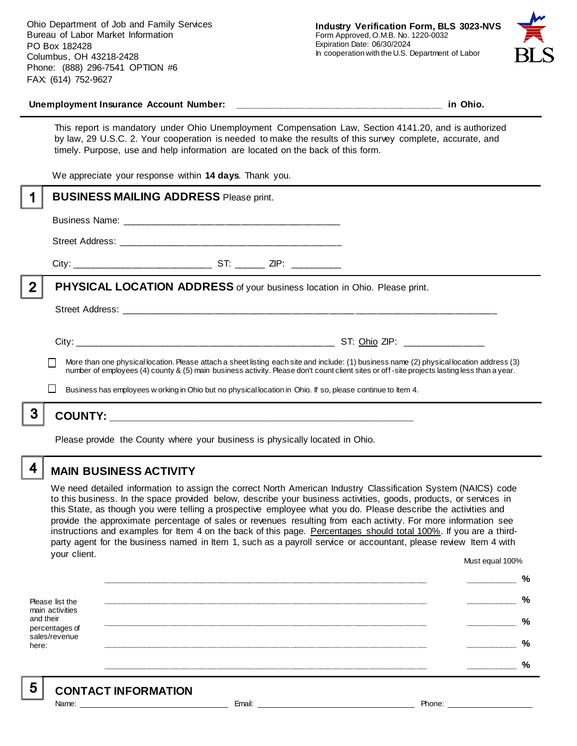Ohio Department of Job and Family Services Bureau of Labor Market Information PO Box 182428 Columbus, OH 43218-2428 Phone: (888) 296-7541 OPTION #6 FAX: (614) 752-9627



#### **Unemployment Insurance Account Number: \_\_\_\_\_\_\_\_\_\_\_\_\_\_\_\_\_\_\_\_\_\_\_\_\_\_\_\_\_\_\_\_\_\_\_\_\_\_\_\_ in Ohio.**

This report is mandatory under Ohio Unemployment Compensation Law, Section 4141.20, and is authorized by law, 29 U.S.C. 2. Your cooperation is needed to make the results of this survey complete, accurate, and timely. Purpose, use and help information are located on the back of this form.

We appreciate your response within **14 days**. Thank you.

|                | <b>BUSINESS MAILING ADDRESS Please print.</b>                                                                                                                                                                                                                                            |
|----------------|------------------------------------------------------------------------------------------------------------------------------------------------------------------------------------------------------------------------------------------------------------------------------------------|
|                |                                                                                                                                                                                                                                                                                          |
|                |                                                                                                                                                                                                                                                                                          |
|                |                                                                                                                                                                                                                                                                                          |
| $\overline{2}$ | <b>PHYSICAL LOCATION ADDRESS</b> of your business location in Ohio. Please print.                                                                                                                                                                                                        |
|                |                                                                                                                                                                                                                                                                                          |
|                |                                                                                                                                                                                                                                                                                          |
|                | More than one physical location. Please attach a sheet listing each site and include: (1) business name (2) physical location address (3)<br>number of employees (4) county & (5) main business activity. Please don't count client sites or off-site projects lasting less than a year. |
|                | Business has employees w orking in Ohio but no physical location in Ohio. If so, please continue to Item 4.                                                                                                                                                                              |
| 3              |                                                                                                                                                                                                                                                                                          |
|                | Please provide the County where your business is physically located in Ohio.                                                                                                                                                                                                             |

**MAIN BUSINESS ACTIVITY**

4

We need detailed information to assign the correct North American Industry Classification System (NAICS) code to this business. In the space provided below, describe your business activities, goods, products, or services in this State, as though you were telling a prospective employee what you do. Please describe the activities and provide the approximate percentage of sales or revenues resulting from each activity. For more information see instructions and examples for Item 4 on the back of this page. Percentages should total 100%. If you are a thirdparty agent for the business named in Item 1, such as a payroll service or accountant, please review Item 4 with your client. Must equal 100%

Please list the main activities and their percentages of sales/revenue here: **\_\_\_\_\_\_\_\_\_\_\_\_\_\_\_\_\_\_\_\_\_\_\_\_\_\_\_\_\_\_\_\_\_\_\_\_\_\_\_\_\_\_\_\_\_\_\_\_\_\_\_\_\_\_\_\_\_\_\_\_\_\_ \_\_\_\_\_\_\_\_\_\_ % \_\_\_\_\_\_\_\_\_\_\_\_\_\_\_\_\_\_\_\_\_\_\_\_\_\_\_\_\_\_\_\_\_\_\_\_\_\_\_\_\_\_\_\_\_\_\_\_\_\_\_\_\_\_\_\_\_\_\_\_\_\_ \_\_\_\_\_\_\_\_\_\_ % \_\_\_\_\_\_\_\_\_\_\_\_\_\_\_\_\_\_\_\_\_\_\_\_\_\_\_\_\_\_\_\_\_\_\_\_\_\_\_\_\_\_\_\_\_\_\_\_\_\_\_\_\_\_\_\_\_\_\_\_\_\_ \_\_\_\_\_\_\_\_\_\_ % \_\_\_\_\_\_\_\_\_\_\_\_\_\_\_\_\_\_\_\_\_\_\_\_\_\_\_\_\_\_\_\_\_\_\_\_\_\_\_\_\_\_\_\_\_\_\_\_\_\_\_\_\_\_\_\_\_\_\_\_\_\_ \_\_\_\_\_\_\_\_\_\_ % \_\_\_\_\_\_\_\_\_\_\_\_\_\_\_\_\_\_\_\_\_\_\_\_\_\_\_\_\_\_\_\_\_\_\_\_\_\_\_\_\_\_\_\_\_\_\_\_\_\_\_\_\_\_\_\_\_\_\_\_\_\_ \_\_\_\_\_\_\_\_\_\_ %**

5